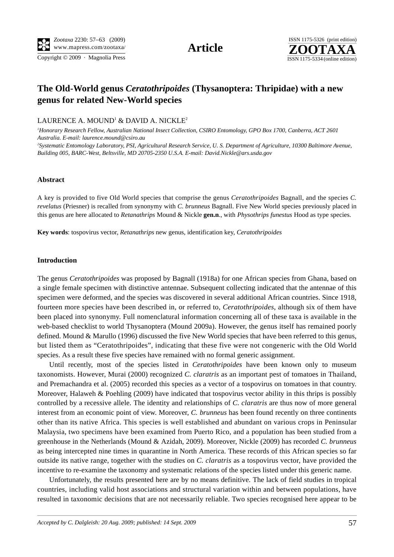Copyright © 2009 · Magnolia Press ISSN 1175-5334 (online edition)



# **The Old-World genus** *Ceratothripoides* **(Thysanoptera: Thripidae) with a new genus for related New-World species**

LAURENCE A. MOUND $^1$  & DAVID A. NICKLE $^2$ 

*1 Honorary Research Fellow, Australian National Insect Collection, CSIRO Entomology, GPO Box 1700, Canberra, ACT 2601 Australia. E-mail: laurence.mound@csiro.au*

<sup>2</sup> Systematic Entomology Laboratory, PSI, Agricultural Research Service, U. S. Department of Agriculture, 10300 Baltimore Avenue, *Building 005, BARC-West, Beltsville, MD 20705-2350 U.S.A. E-mail: David.Nickle@ars.usda.gov*

#### **Abstract**

A key is provided to five Old World species that comprise the genus *Ceratothripoides* Bagnall, and the species *C. revelatus* (Priesner) is recalled from synonymy with *C. brunneus* Bagnall. Five New World species previously placed in this genus are here allocated to *Retanathrips* Mound & Nickle **gen.n**., with *Physothrips funestus* Hood as type species.

**Key words**: tospovirus vector, *Retanathrips* new genus, identification key, *Ceratothripoides*

#### **Introduction**

The genus *Ceratothripoides* was proposed by Bagnall (1918a) for one African species from Ghana, based on a single female specimen with distinctive antennae. Subsequent collecting indicated that the antennae of this specimen were deformed, and the species was discovered in several additional African countries. Since 1918, fourteen more species have been described in, or referred to, *Ceratothripoides*, although six of them have been placed into synonymy. Full nomenclatural information concerning all of these taxa is available in the web-based checklist to world Thysanoptera (Mound 2009a). However, the genus itself has remained poorly defined. Mound & Marullo (1996) discussed the five New World species that have been referred to this genus, but listed them as "Ceratothripoides", indicating that these five were not congeneric with the Old World species. As a result these five species have remained with no formal generic assignment.

Until recently, most of the species listed in *Ceratothripoides* have been known only to museum taxonomists. However, Murai (2000) recognized *C. claratris* as an important pest of tomatoes in Thailand, and Premachandra et al. (2005) recorded this species as a vector of a tospovirus on tomatoes in that country. Moreover, Halaweh & Poehling (2009) have indicated that tospovirus vector ability in this thrips is possibly controlled by a recessive allele. The identity and relationships of *C. claratris* are thus now of more general interest from an economic point of view. Moreover, *C. brunneus* has been found recently on three continents other than its native Africa. This species is well established and abundant on various crops in Peninsular Malaysia, two specimens have been examined from Puerto Rico, and a population has been studied from a greenhouse in the Netherlands (Mound & Azidah, 2009). Moreover, Nickle (2009) has recorded *C. brunneus* as being intercepted nine times in quarantine in North America. These records of this African species so far outside its native range, together with the studies on *C. claratris* as a tospovirus vector, have provided the incentive to re-examine the taxonomy and systematic relations of the species listed under this generic name.

Unfortunately, the results presented here are by no means definitive. The lack of field studies in tropical countries, including valid host associations and structural variation within and between populations, have resulted in taxonomic decisions that are not necessarily reliable. Two species recognised here appear to be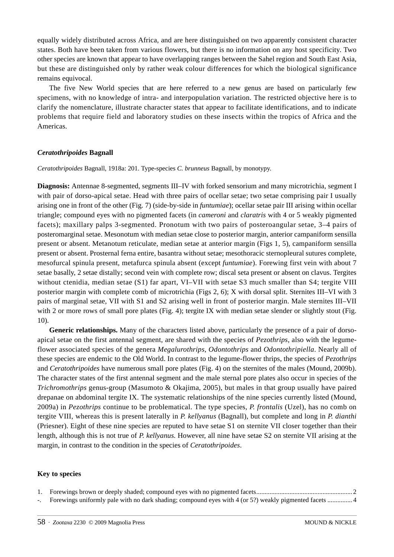equally widely distributed across Africa, and are here distinguished on two apparently consistent character states. Both have been taken from various flowers, but there is no information on any host specificity. Two other species are known that appear to have overlapping ranges between the Sahel region and South East Asia, but these are distinguished only by rather weak colour differences for which the biological significance remains equivocal.

The five New World species that are here referred to a new genus are based on particularly few specimens, with no knowledge of intra- and interpopulation variation. The restricted objective here is to clarify the nomenclature, illustrate character states that appear to facilitate identifications, and to indicate problems that require field and laboratory studies on these insects within the tropics of Africa and the Americas.

#### *Ceratothripoides* **Bagnall**

*Ceratothripoides* Bagnall, 1918a: 201. Type-species *C. brunneus* Bagnall, by monotypy.

**Diagnosis:** Antennae 8-segmented, segments III–IV with forked sensorium and many microtrichia, segment I with pair of dorso-apical setae. Head with three pairs of ocellar setae; two setae comprising pair I usually arising one in front of the other (Fig. 7) (side-by-side in *funtumiae*); ocellar setae pair III arising within ocellar triangle; compound eyes with no pigmented facets (in *cameroni* and *claratris* with 4 or 5 weakly pigmented facets); maxillary palps 3-segmented. Pronotum with two pairs of posteroangular setae, 3–4 pairs of posteromarginal setae. Mesonotum with median setae close to posterior margin, anterior campaniform sensilla present or absent. Metanotum reticulate, median setae at anterior margin (Figs 1, 5), campaniform sensilla present or absent. Prosternal ferna entire, basantra without setae; mesothoracic sternopleural sutures complete, mesofurcal spinula present, metafurca spinula absent (except *funtumiae*). Forewing first vein with about 7 setae basally, 2 setae distally; second vein with complete row; discal seta present or absent on clavus. Tergites without ctenidia, median setae (S1) far apart, VI–VII with setae S3 much smaller than S4; tergite VIII posterior margin with complete comb of microtrichia (Figs 2, 6); X with dorsal split. Sternites III–VI with 3 pairs of marginal setae, VII with S1 and S2 arising well in front of posterior margin. Male sternites III–VII with 2 or more rows of small pore plates (Fig. 4); tergite IX with median setae slender or slightly stout (Fig. 10).

**Generic relationships.** Many of the characters listed above, particularly the presence of a pair of dorsoapical setae on the first antennal segment, are shared with the species of *Pezothrips*, also with the legumeflower associated species of the genera *Megalurothrips*, *Odontothrips* and *Odontothripiella*. Nearly all of these species are endemic to the Old World. In contrast to the legume-flower thrips, the species of *Pezothrips* and *Ceratothripoides* have numerous small pore plates (Fig. 4) on the sternites of the males (Mound, 2009b). The character states of the first antennal segment and the male sternal pore plates also occur in species of the *Trichromothrips* genus-group (Masumoto & Okajima, 2005), but males in that group usually have paired drepanae on abdominal tergite IX. The systematic relationships of the nine species currently listed (Mound, 2009a) in *Pezothrips* continue to be problematical. The type species, *P. frontalis* (Uzel), has no comb on tergite VIII, whereas this is present laterally in *P. kellyanus* (Bagnall), but complete and long in *P. dianthi* (Priesner). Eight of these nine species are reputed to have setae S1 on sternite VII closer together than their length, although this is not true of *P. kellyanus*. However, all nine have setae S2 on sternite VII arising at the margin, in contrast to the condition in the species of *Ceratothripoides*.

# **Key to species**

|  |  |  |  | the contract of the contract of the contract of the contract of the contract of the contract of the contract of |  |  |  |  |
|--|--|--|--|-----------------------------------------------------------------------------------------------------------------|--|--|--|--|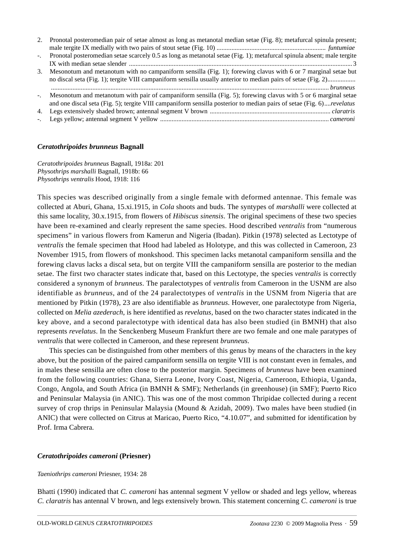| 2.   | Pronotal posteromedian pair of setae almost as long as metanotal median setae (Fig. 8); metafurcal spinula present;                                                                                                                               |
|------|---------------------------------------------------------------------------------------------------------------------------------------------------------------------------------------------------------------------------------------------------|
| $-1$ | Pronotal posteromedian setae scarcely 0.5 as long as metanotal setae (Fig. 1); metafurcal spinula absent; male tergite                                                                                                                            |
| 3.   | Mesonotum and metanotum with no campaniform sensilla (Fig. 1); forewing clavus with 6 or 7 marginal setae but<br>no discal seta (Fig. 1); tergite VIII campaniform sensilla usually anterior to median pairs of setae (Fig. 2)                    |
|      | -. Mesonotum and metanotum with pair of campaniform sensilla (Fig. 5); forewing clavus with 5 or 6 marginal setae<br>and one discal seta (Fig. 5); tergite VIII campaniform sensilla posterior to median pairs of setae (Fig. 6) <i>revelatus</i> |
|      |                                                                                                                                                                                                                                                   |

# *Ceratothripoides brunneus* **Bagnall**

*Ceratothripoides brunneus* Bagnall, 1918a: 201 *Physothrips marshalli* Bagnall, 1918b: 66 *Physothrips ventralis* Hood, 1918: 116

This species was described originally from a single female with deformed antennae. This female was collected at Aburi, Ghana, 15.xi.1915, in *Cola* shoots and buds. The syntypes of *marshalli* were collected at this same locality, 30.x.1915, from flowers of *Hibiscus sinensis*. The original specimens of these two species have been re-examined and clearly represent the same species. Hood described *ventralis* from "numerous specimens" in various flowers from Kamerun and Nigeria (Ibadan). Pitkin (1978) selected as Lectotype of *ventralis* the female specimen that Hood had labeled as Holotype, and this was collected in Cameroon, 23 November 1915, from flowers of monkshood. This specimen lacks metanotal campaniform sensilla and the forewing clavus lacks a discal seta, but on tergite VIII the campaniform sensilla are posterior to the median setae. The first two character states indicate that, based on this Lectotype, the species *ventralis* is correctly considered a synonym of *brunneus*. The paralectotypes of *ventralis* from Cameroon in the USNM are also identifiable as *brunneus*, and of the 24 paralectotypes of *ventralis* in the USNM from Nigeria that are mentioned by Pitkin (1978), 23 are also identifiable as *brunneus*. However, one paralectotype from Nigeria, collected on *Melia azederach*, is here identified as *revelatus*, based on the two character states indicated in the key above, and a second paralectotype with identical data has also been studied (in BMNH) that also represents *revelatus*. In the Senckenberg Museum Frankfurt there are two female and one male paratypes of *ventralis* that were collected in Cameroon, and these represent *brunneus*.

This species can be distinguished from other members of this genus by means of the characters in the key above, but the position of the paired campaniform sensilla on tergite VIII is not constant even in females, and in males these sensilla are often close to the posterior margin. Specimens of *brunneus* have been examined from the following countries: Ghana, Sierra Leone, Ivory Coast, Nigeria, Cameroon, Ethiopia, Uganda, Congo, Angola, and South Africa (in BMNH & SMF); Netherlands (in greenhouse) (in SMF); Puerto Rico and Peninsular Malaysia (in ANIC). This was one of the most common Thripidae collected during a recent survey of crop thrips in Peninsular Malaysia (Mound & Azidah, 2009). Two males have been studied (in ANIC) that were collected on Citrus at Maricao, Puerto Rico, "4.10.07", and submitted for identification by Prof. Irma Cabrera.

# *Ceratothripoides cameroni* **(Priesner)**

# *Taeniothrips cameroni* Priesner, 1934: 28

Bhatti (1990) indicated that *C. cameroni* has antennal segment V yellow or shaded and legs yellow, whereas *C. claratris* has antennal V brown, and legs extensively brown. This statement concerning *C. cameroni* is true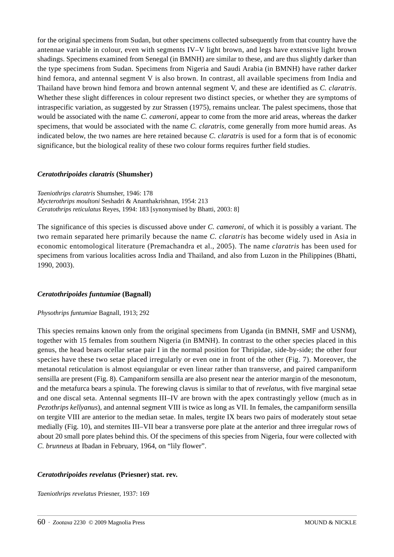for the original specimens from Sudan, but other specimens collected subsequently from that country have the antennae variable in colour, even with segments IV–V light brown, and legs have extensive light brown shadings. Specimens examined from Senegal (in BMNH) are similar to these, and are thus slightly darker than the type specimens from Sudan. Specimens from Nigeria and Saudi Arabia (in BMNH) have rather darker hind femora, and antennal segment V is also brown. In contrast, all available specimens from India and Thailand have brown hind femora and brown antennal segment V, and these are identified as *C. claratris*. Whether these slight differences in colour represent two distinct species, or whether they are symptoms of intraspecific variation, as suggested by zur Strassen (1975), remains unclear. The palest specimens, those that would be associated with the name *C. cameroni*, appear to come from the more arid areas, whereas the darker specimens, that would be associated with the name *C. claratris*, come generally from more humid areas. As indicated below, the two names are here retained because *C. claratris* is used for a form that is of economic significance, but the biological reality of these two colour forms requires further field studies.

# *Ceratothripoides claratris* **(Shumsher)**

*Taeniothrips claratris* Shumsher, 1946: 178 *Mycterothrips moultoni* Seshadri & Ananthakrishnan, 1954: 213 *Ceratothrips reticulatus* Reyes, 1994: 183 [synonymised by Bhatti, 2003: 8]

The significance of this species is discussed above under *C. cameroni*, of which it is possibly a variant. The two remain separated here primarily because the name *C. claratris* has become widely used in Asia in economic entomological literature (Premachandra et al., 2005). The name *claratris* has been used for specimens from various localities across India and Thailand, and also from Luzon in the Philippines (Bhatti, 1990, 2003).

# *Ceratothripoides funtumiae* **(Bagnall)**

#### *Physothrips funtumiae* Bagnall, 1913; 292

This species remains known only from the original specimens from Uganda (in BMNH, SMF and USNM), together with 15 females from southern Nigeria (in BMNH). In contrast to the other species placed in this genus, the head bears ocellar setae pair I in the normal position for Thripidae, side-by-side; the other four species have these two setae placed irregularly or even one in front of the other (Fig. 7). Moreover, the metanotal reticulation is almost equiangular or even linear rather than transverse, and paired campaniform sensilla are present (Fig. 8). Campaniform sensilla are also present near the anterior margin of the mesonotum, and the metafurca bears a spinula. The forewing clavus is similar to that of *revelatus*, with five marginal setae and one discal seta. Antennal segments III–IV are brown with the apex contrastingly yellow (much as in *Pezothrips kellyanus*), and antennal segment VIII is twice as long as VII. In females, the campaniform sensilla on tergite VIII are anterior to the median setae. In males, tergite IX bears two pairs of moderately stout setae medially (Fig. 10), and sternites III–VII bear a transverse pore plate at the anterior and three irregular rows of about 20 small pore plates behind this. Of the specimens of this species from Nigeria, four were collected with *C. brunneus* at Ibadan in February, 1964, on "lily flower".

# *Ceratothripoides revelatus* **(Priesner) stat. rev.**

*Taeniothrips revelatus* Priesner, 1937: 169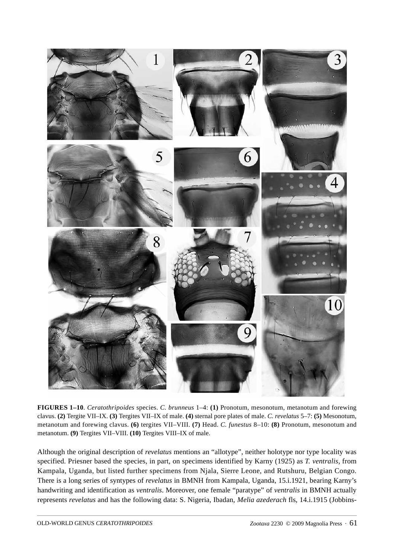

**FIGURES 1–10**. *Ceratothripoides* species. *C. brunneus* 1–4: **(1)** Pronotum, mesonotum, metanotum and forewing clavus. **(2)** Tergite VII–IX. **(3)** Tergites VII–IX of male. **(4)** sternal pore plates of male. *C. revelatus* 5–7: **(5)** Mesonotum, metanotum and forewing clavus. **(6)** tergites VII–VIII. **(7)** Head. *C. funestus* 8–10: **(8)** Pronotum, mesonotum and metanotum. **(9)** Tergites VII–VIII. **(10)** Tergites VIII–IX of male.

Although the original description of *revelatus* mentions an "allotype", neither holotype nor type locality was specified. Priesner based the species, in part, on specimens identified by Karny (1925) as *T. ventralis*, from Kampala, Uganda, but listed further specimens from Njala, Sierre Leone, and Rutshuru, Belgian Congo. There is a long series of syntypes of *revelatus* in BMNH from Kampala, Uganda, 15.i.1921, bearing Karny's handwriting and identification as *ventralis*. Moreover, one female "paratype" of *ventralis* in BMNH actually represents *revelatus* and has the following data: S. Nigeria, Ibadan, *Melia azederach* fls, 14.i.1915 (Jobbins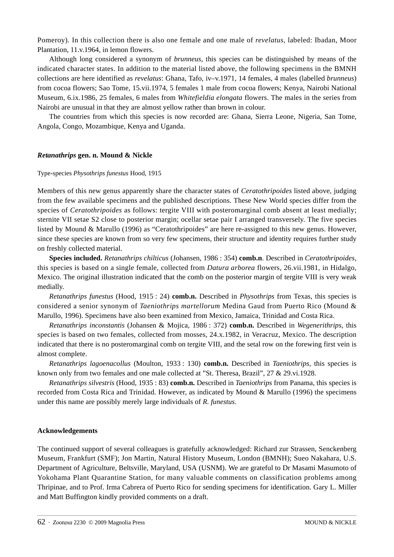Pomeroy). In this collection there is also one female and one male of *revelatus*, labeled: Ibadan, Moor Plantation, 11.v.1964, in lemon flowers.

Although long considered a synonym of *brunneus*, this species can be distinguished by means of the indicated character states. In addition to the material listed above, the following specimens in the BMNH collections are here identified as *revelatus*: Ghana, Tafo, iv–v.1971, 14 females, 4 males (labelled *brunneus*) from cocoa flowers; Sao Tome, 15.vii.1974, 5 females 1 male from cocoa flowers; Kenya, Nairobi National Museum, 6.ix.1986, 25 females, 6 males from *Whitefieldia elongata* flowers. The males in the series from Nairobi are unusual in that they are almost yellow rather than brown in colour.

The countries from which this species is now recorded are: Ghana, Sierra Leone, Nigeria, San Tome, Angola, Congo, Mozambique, Kenya and Uganda.

#### *Retanathrips* **gen. n. Mound & Nickle**

#### Type-species *Physothrips funestus* Hood, 1915

Members of this new genus apparently share the character states of *Ceratothripoides* listed above, judging from the few available specimens and the published descriptions. These New World species differ from the species of *Ceratothripoides* as follows: tergite VIII with posteromarginal comb absent at least medially; sternite VII setae S2 close to posterior margin; ocellar setae pair I arranged transversely. The five species listed by Mound & Marullo (1996) as "Ceratothripoides" are here re-assigned to this new genus. However, since these species are known from so very few specimens, their structure and identity requires further study on freshly collected material.

**Species included.** *Retanathrips chilticus* (Johansen, 1986 : 354) **comb.n**. Described in *Ceratothripoides*, this species is based on a single female, collected from *Datura arborea* flowers, 26.vii.1981, in Hidalgo, Mexico. The original illustration indicated that the comb on the posterior margin of tergite VIII is very weak medially.

*Retanathrips funestus* (Hood, 1915 : 24) **comb.n.** Described in *Physothrips* from Texas, this species is considered a senior synonym of *Taeniothrips martellorum* Medina Gaud from Puerto Rico (Mound & Marullo, 1996). Specimens have also been examined from Mexico, Jamaica, Trinidad and Costa Rica.

*Retanathrips inconstantis* (Johansen & Mojica, 1986 : 372) **comb.n.** Described in *Wegenerithrips*, this species is based on two females, collected from mosses, 24.x.1982, in Veracruz, Mexico. The description indicated that there is no posteromarginal comb on tergite VIII, and the setal row on the forewing first vein is almost complete.

*Retanathrips lagoenacollus* (Moulton, 1933 : 130) **comb.n.** Described in *Taeniothrips*, this species is known only from two females and one male collected at "St. Theresa, Brazil", 27 & 29.vi.1928.

*Retanathrips silvestris* (Hood, 1935 : 83) **comb.n.** Described in *Taeniothrips* from Panama, this species is recorded from Costa Rica and Trinidad. However, as indicated by Mound & Marullo (1996) the specimens under this name are possibly merely large individuals of *R. funestus*.

# **Acknowledgements**

The continued support of several colleagues is gratefully acknowledged: Richard zur Strassen, Senckenberg Museum, Frankfurt (SMF); Jon Martin, Natural History Museum, London (BMNH); Sueo Nakahara, U.S. Department of Agriculture, Beltsville, Maryland, USA (USNM). We are grateful to Dr Masami Masumoto of Yokohama Plant Quarantine Station, for many valuable comments on classification problems among Thripinae, and to Prof. Irma Cabrera of Puerto Rico for sending specimens for identification. Gary L. Miller and Matt Buffington kindly provided comments on a draft.